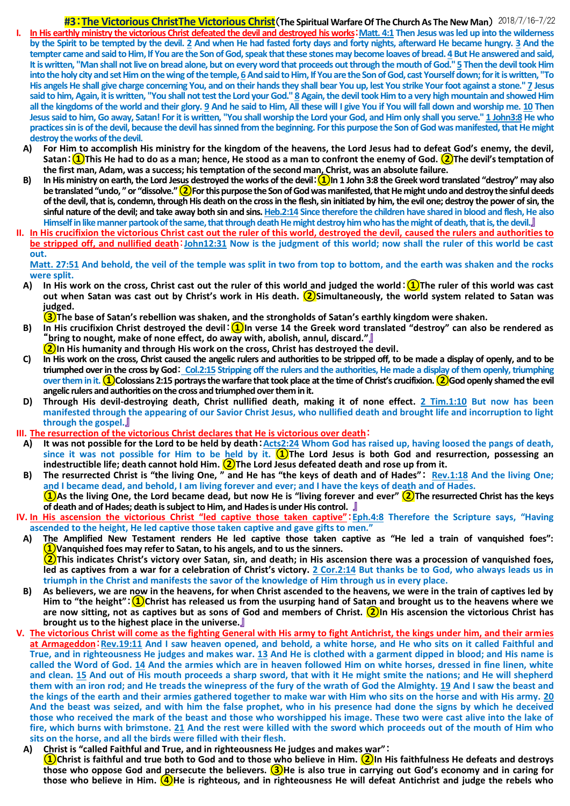## **#3**:**The Victorious ChristThe Victorious Christ**(**The Spiritual Warfare Of The Church As The New Man**) 2018/7/16-7/22 **I. In His earthly ministry the victorious Christ defeated the devil and destroyed his works**:**Matt. 4:1 Then Jesus was led up into the wilderness by the Spirit to be tempted by the devil. 2 And when He had fasted forty days and forty nights, afterward He became hungry. 3 And the tempter came and said to Him, If You are the Son of God, speak that these stones may become loaves of bread. 4 But He answered and said, It is written, "Man shall not live on bread alone, but on every word that proceeds out through the mouth of God.'' 5 Then the devil took Him**  into the holy city and set Him on the wing of the temple, 6 And said to Him, If You are the Son of God, cast Yourself down; for it is written, "To **His angels He shall give charge concerning You, and on their hands they shall bear You up, lest You strike Your foot against a stone.'' 7 Jesus said to him, Again, it is written, "You shall not test the Lord your God.'' 8 Again, the devil took Him to a very high mountain and showed Him all the kingdoms of the world and their glory. 9 And he said to Him, All these will I give You if You will fall down and worship me. 10 Then Jesus said to him, Go away, Satan! For it is written, "You shall worship the Lord your God, and Him only shall you serve.'' 1 John3:8 He who practices sin is of the devil, because the devil has sinned from the beginning. For this purpose the Son of God was manifested, that He might destroy the works of the devil.**

- **A) For Him to accomplish His ministry for the kingdom of the heavens, the Lord Jesus had to defeat God's enemy, the devil, Satan**:**①This He had to do as a man; hence, He stood as a man to confront the enemy of God. ②The devil's temptation of the first man, Adam, was a success; histemptation of the second man, Christ, was an absolute failure.**
- **B) In His ministry on earth, the Lord Jesus destroyed the works of the devil**:**①In 1 John 3:8 the Greek word translated "destroy" may also be translated "undo, " or "dissolve."②For this purpose the Son of God was manifested, that He might undo and destroy the sinful deeds of the devil, that is, condemn, through His death on the cross in the flesh, sin initiated by him, the evil one; destroy the power of sin, the sinful nature of the devil; and take away both sin and sins.Heb.2:14 Since therefore the children have shared in blood and flesh, He also Himself in like manner partook of the same, that through death He might destroy him who has the might of death, that is, the devil.**』
- **II. In His crucifixion the victorious Christ cast out the ruler of this world, destroyed the devil, caused the rulers and authorities to be stripped off, and nullified death**:**John12:31 Now is the judgment of this world; now shall the ruler of this world be cast out.**

**Matt. 27:51 And behold, the veil of the temple was split in two from top to bottom, and the earth was shaken and the rocks were split.**

**A) In His work on the cross, Christ cast out the ruler of this world and judged the world**:**①The ruler of this world was cast out when Satan was cast out by Christ's work in His death. ②Simultaneously, the world system related to Satan was judged.**

**③The base of Satan's rebellion was shaken, and the strongholds of Satan's earthly kingdom were shaken.**

- **B) In His crucifixion Christ destroyed the devil**:**①In verse 14 the Greek word translated "destroy" can also be rendered as**  "**bring to nought, make of none effect, do away with, abolish, annul, discard."**』
- **②In His humanity and through His work on the cross, Christ has destroyed the devil.**
- **C) In His work on the cross, Christ caused the angelic rulers and authorities to be stripped off, to be made a display of openly, and to be triumphed over in the cross by God**: **Col.2:15 Stripping off the rulers and the authorities, He made a display of them openly, triumphing over them in it.①Colossians 2:15 portrays the warfare that took place at the time of Christ's crucifixion.②God openly shamed the evil angelic rulers and authorities on the cross and triumphed over them in it.**
- **D) Through His devil-destroying death, Christ nullified death, making it of none effect. 2 Tim.1:10 But now has been manifested through the appearing of our Savior Christ Jesus, who nullified death and brought life and incorruption to light through the gospel.**』
- **III. The resurrection of the victorious Christ declares that He is victorious over death**:
- **A) It was not possible for the Lord to be held by death**:**Acts2:24 Whom God has raised up, having loosed the pangs of death, since it was not possible for Him to be held by it. ①The Lord Jesus is both God and resurrection, possessing an indestructible life; death cannot hold Him. ②The Lord Jesus defeated death and rose up from it.**
- **B) The resurrected Christ is "the living One, " and He has "the keys of death and of Hades"**: **Rev.1:18 And the living One; and I became dead, and behold, I am living forever and ever; and I have the keys of death and of Hades. ①As the living One, the Lord became dead, but now He is "living forever and ever" ②The resurrected Christ has the keys of death and of Hades; death issubject to Him, and Hades is under His control.** 』
- **IV. In His ascension the victorious Christ "led captive those taken captive"**:**Eph.4:8 Therefore the Scripture says, "Having ascended to the height, He led captive those taken captive and gave gifts to men."**
- **A) The Amplified New Testament renders He led captive those taken captive as "He led a train of vanquished foes": ①Vanquished foes may refer to Satan, to his angels, and to us the sinners. ②This indicates Christ's victory over Satan, sin, and death; in His ascension there was a procession of vanquished foes, led as captives from a war for a celebration of Christ's victory. 2 Cor.2:14 But thanks be to God, who always leads us in triumph in the Christ and manifests the savor of the knowledge of Him through us in every place.**
- **B) As believers, we are now in the heavens, for when Christ ascended to the heavens, we were in the train of captives led by Him to "the height"**:**①Christ has released us from the usurping hand of Satan and brought us to the heavens where we are now sitting, not as captives but as sons of God and members of Christ. ②In His ascension the victorious Christ has brought us to the highest place in the universe.**』
- **V. The victorious Christ will come as the fighting General with His army to fight Antichrist, the kings under him, and their armies at Armageddon**:**Rev.19:11 And I saw heaven opened, and behold, a white horse, and He who sits on it called Faithful and True, and in righteousness He judges and makes war. 13 And He is clothed with a garment dipped in blood; and His name is called the Word of God. 14 And the armies which are in heaven followed Him on white horses, dressed in fine linen, white and clean. 15 And out of His mouth proceeds a sharp sword, that with it He might smite the nations; and He will shepherd them with an iron rod; and He treads the winepress of the fury of the wrath of God the Almighty. 19 And I saw the beast and the kings of the earth and their armies gathered together to make war with Him who sits on the horse and with His army. 20 And the beast was seized, and with him the false prophet, who in his presence had done the signs by which he deceived those who received the mark of the beast and those who worshipped his image. These two were cast alive into the lake of fire, which burns with brimstone. 21 And the rest were killed with the sword which proceeds out of the mouth of Him who sits on the horse, and all the birds were filled with their flesh.**

## **A) Christ is "called Faithful and True, and in righteousness He judges and makes war"**: **①Christ is faithful and true both to God and to those who believe in Him. ②In His faithfulness He defeats and destroys those who oppose God and persecute the believers. ③He is also true in carrying out God's economy and in caring for those who believe in Him. ④He is righteous, and in righteousness He will defeat Antichrist and judge the rebels who**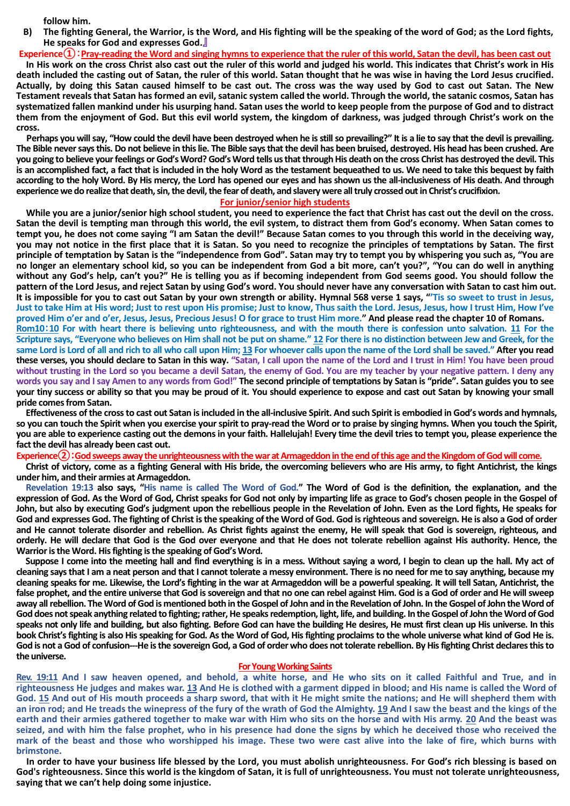**follow him.**

**B) The fighting General, the Warrior, is the Word, and His fighting will be the speaking of the word of God; as the Lord fights, He speaks for God and expresses God.**』

**Experience①**:**Pray-reading the Word and singing hymns to experience that the ruler of this world, Satan the devil, has been cast out In His work on the cross Christ also cast out the ruler of this world and judged his world. This indicates that Christ's work in His death included the casting out of Satan, the ruler of this world. Satan thought that he was wise in having the Lord Jesus crucified. Actually, by doing this Satan caused himself to be cast out. The cross was the way used by God to cast out Satan. The New Testament reveals that Satan has formed an evil, satanic system called the world. Through the world, the satanic cosmos, Satan has systematized fallen mankind under his usurping hand. Satan uses the world to keep people from the purpose of God and to distract them from the enjoyment of God. But this evil world system, the kingdom of darkness, was judged through Christ's work on the cross.**

**Perhaps you will say, "How could the devil have been destroyed when he is still so prevailing?" It is a lie to say that the devil is prevailing. The Bible never says this. Do not believe in this lie. The Bible says that the devil has been bruised, destroyed. His head has been crushed. Are you going to believe your feelings or God's Word? God's Word tells us that through His death on the cross Christ has destroyed the devil. This is an accomplished fact, a fact that is included in the holy Word as the testament bequeathed to us. We need to take this bequest by faith according to the holy Word. By His mercy, the Lord has opened our eyes and has shown us the all-inclusiveness of His death. And through experience we do realize that death, sin, the devil, the fear of death, and slavery were all truly crossed out in Christ's crucifixion.**

## **For junior/senior high students**

**While you are a junior/senior high school student, you need to experience the fact that Christ has cast out the devil on the cross. Satan the devil is tempting man through this world, the evil system, to distract them from God's economy. When Satan comes to tempt you, he does not come saying "I am Satan the devil!" Because Satan comes to you through this world in the deceiving way, you may not notice in the first place that it is Satan. So you need to recognize the principles of temptations by Satan. The first principle of temptation by Satan is the "independence from God". Satan may try to tempt you by whispering you such as, "You are no longer an elementary school kid, so you can be independent from God a bit more, can't you?", "You can do well in anything without any God's help, can't you?" He is telling you as if becoming independent from God seems good. You should follow the pattern of the Lord Jesus, and reject Satan by using God's word. You should never have any conversation with Satan to cast him out. It is impossible for you to cast out Satan by your own strength or ability. Hymnal 568 verse 1 says, "'Tis so sweet to trust in Jesus, Just to take Him at His word; Just to rest upon His promise; Just to know, Thus saith the Lord. Jesus, Jesus, how I trust Him, How I've proved Him o'er and o'er, Jesus, Jesus, Precious Jesus! O for grace to trust Him more." And please read the chapter 10 of Romans. Rom10**:**10 For with heart there is believing unto righteousness, and with the mouth there is confession unto salvation. 11 For the Scripture says, "Everyone who believes on Him shall not be put on shame." 12 For there is no distinction between Jew and Greek, for the** 

**same Lord is Lord of all and rich to all who call upon Him; 13 For whoever calls upon the name of the Lord shall be saved." After you read these verses, you should declare to Satan in this way. "Satan, I call upon the name of the Lord and I trust in Him! You have been proud without trusting in the Lord so you became a devil Satan, the enemy of God. You are my teacher by your negative pattern. I deny any words you say and I say Amen to any words from God!" The second principle of temptations by Satan is "pride". Satan guides you to see your tiny success or ability so that you may be proud of it. You should experience to expose and cast out Satan by knowing your small pride comes from Satan.**

**Effectiveness of the cross to cast out Satan is included in the all-inclusive Spirit. And such Spirit is embodied in God's words and hymnals, so you can touch the Spirit when you exercise your spirit to pray-read the Word or to praise by singing hymns. When you touch the Spirit, you are able to experience casting out the demonsin your faith. Hallelujah! Every time the devil tries to tempt you, please experience the fact the devil has already been cast out.**

**Experience②**:**God sweeps away the unrighteousness withthe war at Armageddon in the end of this age and the Kingdom of Godwill come.**

**Christ of victory, come as a fighting General with His bride, the overcoming believers who are His army, to fight Antichrist, the kings under him, and their armies at Armageddon.**

**Revelation 19:13 also says, "His name is called The Word of God." The Word of God is the definition, the explanation, and the expression of God. As the Word of God, Christ speaks for God not only by imparting life as grace to God's chosen people in the Gospel of John, but also by executing God's judgment upon the rebellious people in the Revelation of John. Even as the Lord fights, He speaks for God and expresses God. The fighting of Christ is the speaking of the Word of God. God is righteous and sovereign. He is also a God of order and He cannot tolerate disorder and rebellion. As Christ fights against the enemy, He will speak that God is sovereign, righteous, and orderly. He will declare that God is the God over everyone and that He does not tolerate rebellion against His authority. Hence, the Warrior is the Word. His fighting is the speaking of God's Word.**

**Suppose I come into the meeting hall and find everything is in a mess. Without saying a word, I begin to clean up the hall. My act of cleaning says that I am a neat person and that I cannot tolerate a messy environment. There is no need for me to say anything, because my cleaning speaks for me. Likewise, the Lord's fighting in the war at Armageddon will be a powerful speaking. It will tell Satan, Antichrist, the false prophet, and the entire universe that God is sovereign and that no one can rebel against Him. God is a God of order and He will sweep away all rebellion. The Word of God is mentioned both in the Gospel of John and in the Revelation of John. In the Gospel of John the Word of God does not speak anything related to fighting; rather, He speaks redemption, light, life, and building. In the Gospel of John the Word of God speaks not only life and building, but also fighting. Before God can have the building He desires, He must first clean up His universe. In this book Christ's fighting is also His speaking for God. As the Word of God, His fighting proclaims to the whole universe what kind of God He is. God is not a God of confusion---He is the sovereign God, a God of order who does not tolerate rebellion. By His fighting Christ declares this to the universe.**

## **For Young Working Saints**

**Rev. 19:11 And I saw heaven opened, and behold, a white horse, and He who sits on it called Faithful and True, and in righteousness He judges and makes war. 13 And He is clothed with a garment dipped in blood; and His name is called the Word of God. 15 And out of His mouth proceeds a sharp sword, that with it He might smite the nations; and He will shepherd them with an iron rod; and He treads the winepress of the fury of the wrath of God the Almighty. 19 And I saw the beast and the kings of the earth and their armies gathered together to make war with Him who sits on the horse and with His army. 20 And the beast was seized, and with him the false prophet, who in his presence had done the signs by which he deceived those who received the mark of the beast and those who worshipped his image. These two were cast alive into the lake of fire, which burns with brimstone.**

**In order to have your business life blessed by the Lord, you must abolish unrighteousness. For God's rich blessing is based on God's righteousness. Since this world is the kingdom of Satan, it is full of unrighteousness. You must not tolerate unrighteousness, saying that we can't help doing some injustice.**